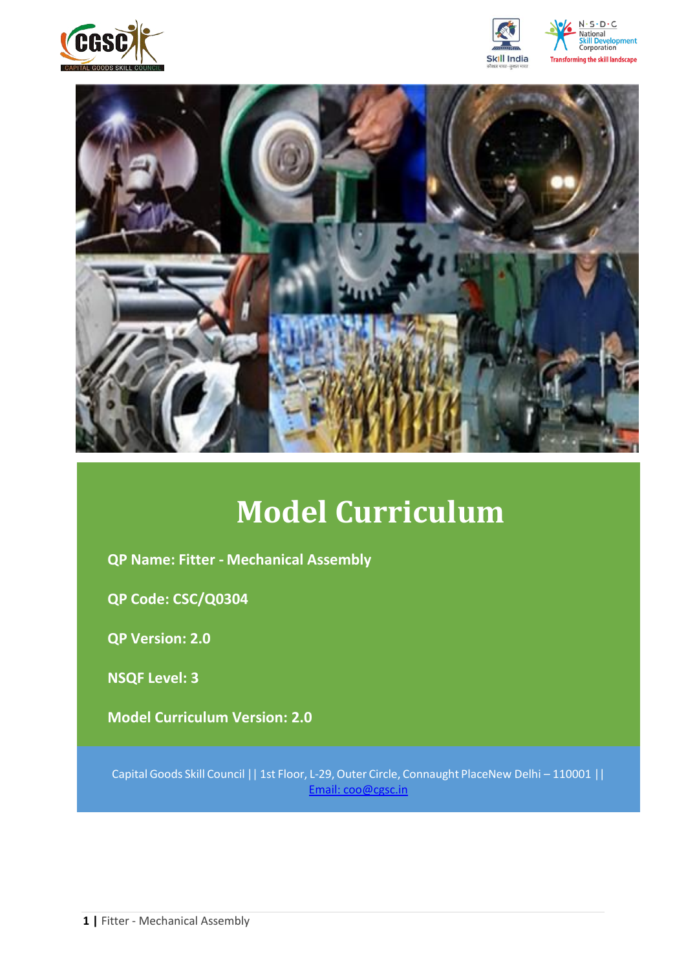







# **Model Curriculum**

**QP Name: Fitter - Mechanical Assembly** 

**QP Code: CSC/Q0304**

**QP Version: 2.0**

**NSQF Level: 3**

**Model Curriculum Version: 2.0** 

Capital Goods Skill Council || 1st Floor, L-29,Outer Circle, Connaught PlaceNew Delhi – 110001 || Email: [coo@cgsc.in](mailto:Email:%20coo@cgsc.in)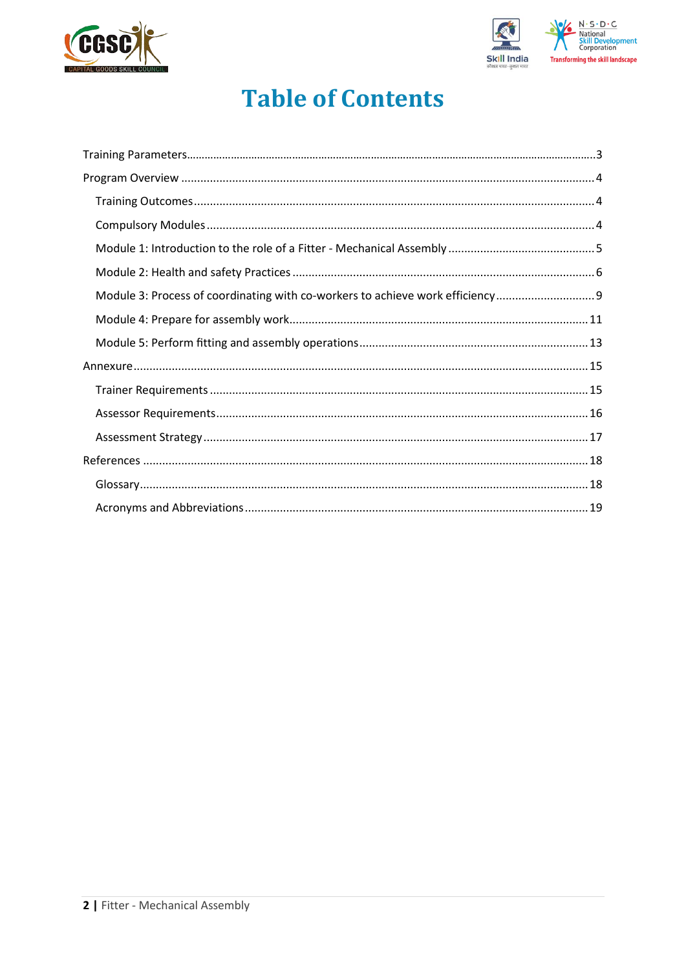



# **Table of Contents**

| Module 3: Process of coordinating with co-workers to achieve work efficiency |  |
|------------------------------------------------------------------------------|--|
|                                                                              |  |
|                                                                              |  |
|                                                                              |  |
|                                                                              |  |
|                                                                              |  |
|                                                                              |  |
|                                                                              |  |
|                                                                              |  |
|                                                                              |  |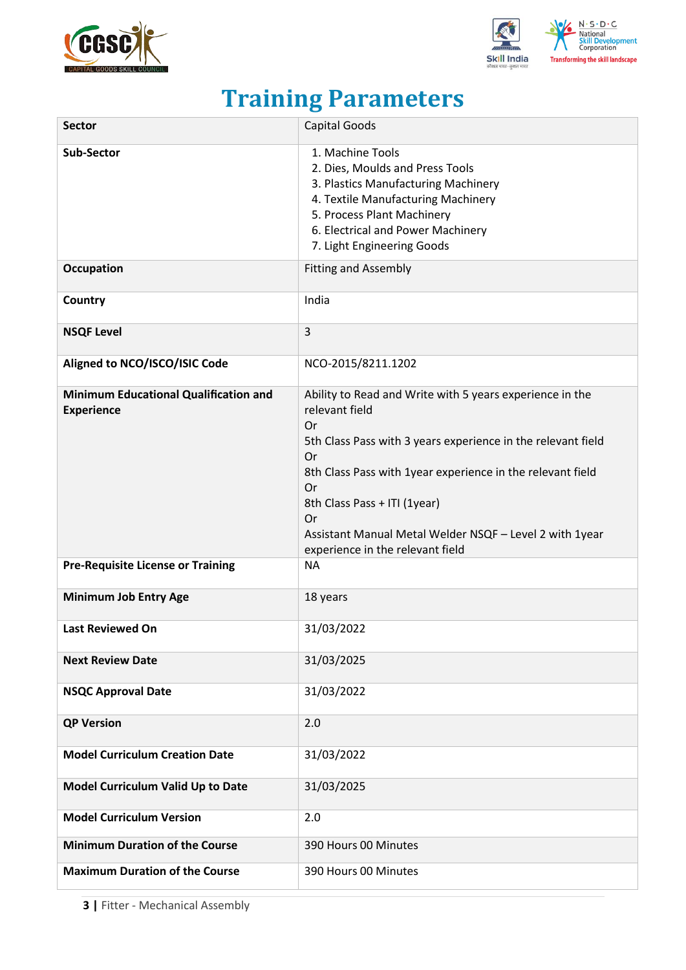



# **Training Parameters**

<span id="page-2-0"></span>

| <b>Sector</b>                                                     | <b>Capital Goods</b>                                                                                                                                                                                                                                                                                                                                                          |
|-------------------------------------------------------------------|-------------------------------------------------------------------------------------------------------------------------------------------------------------------------------------------------------------------------------------------------------------------------------------------------------------------------------------------------------------------------------|
| <b>Sub-Sector</b>                                                 | 1. Machine Tools<br>2. Dies, Moulds and Press Tools<br>3. Plastics Manufacturing Machinery<br>4. Textile Manufacturing Machinery<br>5. Process Plant Machinery<br>6. Electrical and Power Machinery<br>7. Light Engineering Goods                                                                                                                                             |
| <b>Occupation</b>                                                 | <b>Fitting and Assembly</b>                                                                                                                                                                                                                                                                                                                                                   |
| Country                                                           | India                                                                                                                                                                                                                                                                                                                                                                         |
| <b>NSQF Level</b>                                                 | 3                                                                                                                                                                                                                                                                                                                                                                             |
| Aligned to NCO/ISCO/ISIC Code                                     | NCO-2015/8211.1202                                                                                                                                                                                                                                                                                                                                                            |
| <b>Minimum Educational Qualification and</b><br><b>Experience</b> | Ability to Read and Write with 5 years experience in the<br>relevant field<br>Or<br>5th Class Pass with 3 years experience in the relevant field<br>Or<br>8th Class Pass with 1year experience in the relevant field<br><b>Or</b><br>8th Class Pass + ITI (1year)<br><b>Or</b><br>Assistant Manual Metal Welder NSQF - Level 2 with 1year<br>experience in the relevant field |
| <b>Pre-Requisite License or Training</b>                          | <b>NA</b>                                                                                                                                                                                                                                                                                                                                                                     |
| <b>Minimum Job Entry Age</b>                                      | 18 years                                                                                                                                                                                                                                                                                                                                                                      |
| Last Reviewed On                                                  | 31/03/2022                                                                                                                                                                                                                                                                                                                                                                    |
| <b>Next Review Date</b>                                           | 31/03/2025                                                                                                                                                                                                                                                                                                                                                                    |
| <b>NSQC Approval Date</b>                                         | 31/03/2022                                                                                                                                                                                                                                                                                                                                                                    |
| <b>QP Version</b>                                                 | 2.0                                                                                                                                                                                                                                                                                                                                                                           |
| <b>Model Curriculum Creation Date</b>                             | 31/03/2022                                                                                                                                                                                                                                                                                                                                                                    |
| Model Curriculum Valid Up to Date                                 | 31/03/2025                                                                                                                                                                                                                                                                                                                                                                    |
| <b>Model Curriculum Version</b>                                   | 2.0                                                                                                                                                                                                                                                                                                                                                                           |
| <b>Minimum Duration of the Course</b>                             | 390 Hours 00 Minutes                                                                                                                                                                                                                                                                                                                                                          |
| <b>Maximum Duration of the Course</b>                             | 390 Hours 00 Minutes                                                                                                                                                                                                                                                                                                                                                          |

**3 |** Fitter - Mechanical Assembly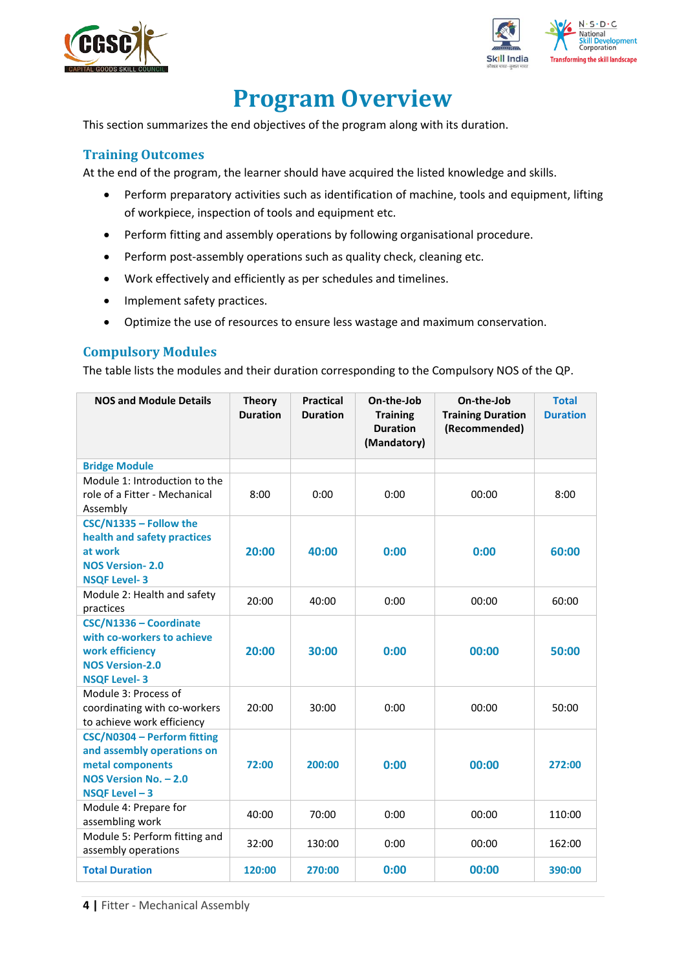



# **Program Overview**

<span id="page-3-0"></span>This section summarizes the end objectives of the program along with its duration.

## <span id="page-3-1"></span>**Training Outcomes**

<span id="page-3-2"></span>At the end of the program, the learner should have acquired the listed knowledge and skills.

- Perform preparatory activities such as identification of machine, tools and equipment, lifting of workpiece, inspection of tools and equipment etc.
- Perform fitting and assembly operations by following organisational procedure.
- Perform post-assembly operations such as quality check, cleaning etc.
- Work effectively and efficiently as per schedules and timelines.
- Implement safety practices.
- Optimize the use of resources to ensure less wastage and maximum conservation.

### **Compulsory Modules**

The table lists the modules and their duration corresponding to the Compulsory NOS of the QP.

| <b>NOS and Module Details</b>                                                                                            | <b>Theory</b><br><b>Duration</b> | <b>Practical</b><br><b>Duration</b> | On-the-Job<br><b>Training</b><br><b>Duration</b><br>(Mandatory) | On-the-Job<br><b>Training Duration</b><br>(Recommended) | <b>Total</b><br><b>Duration</b> |
|--------------------------------------------------------------------------------------------------------------------------|----------------------------------|-------------------------------------|-----------------------------------------------------------------|---------------------------------------------------------|---------------------------------|
| <b>Bridge Module</b>                                                                                                     |                                  |                                     |                                                                 |                                                         |                                 |
| Module 1: Introduction to the<br>role of a Fitter - Mechanical<br>Assembly                                               | 8:00                             | 0:00                                | 0:00                                                            | 00:00                                                   | 8:00                            |
| CSC/N1335 - Follow the<br>health and safety practices<br>at work<br><b>NOS Version-2.0</b><br><b>NSQF Level-3</b>        | 20:00                            | 40:00                               | 0:00                                                            | 0:00                                                    | 60:00                           |
| Module 2: Health and safety<br>practices                                                                                 | 20:00                            | 40:00                               | 0:00                                                            | 00:00                                                   | 60:00                           |
| CSC/N1336 - Coordinate<br>with co-workers to achieve<br>work efficiency<br><b>NOS Version-2.0</b><br><b>NSQF Level-3</b> | 20:00                            | 30:00                               | 0:00                                                            | 00:00                                                   | 50:00                           |
| Module 3: Process of<br>coordinating with co-workers<br>to achieve work efficiency                                       | 20:00                            | 30:00                               | 0:00                                                            | 00:00                                                   | 50:00                           |
| CSC/N0304 - Perform fitting<br>and assembly operations on<br>metal components<br>NOS Version No. - 2.0<br>NSQF Level-3   | 72:00                            | 200:00                              | 0:00                                                            | 00:00                                                   | 272:00                          |
| Module 4: Prepare for<br>assembling work                                                                                 | 40:00                            | 70:00                               | 0:00                                                            | 00:00                                                   | 110:00                          |
| Module 5: Perform fitting and<br>assembly operations                                                                     | 32:00                            | 130:00                              | 0:00                                                            | 00:00                                                   | 162:00                          |
| <b>Total Duration</b>                                                                                                    | 120:00                           | 270:00                              | 0:00                                                            | 00:00                                                   | 390:00                          |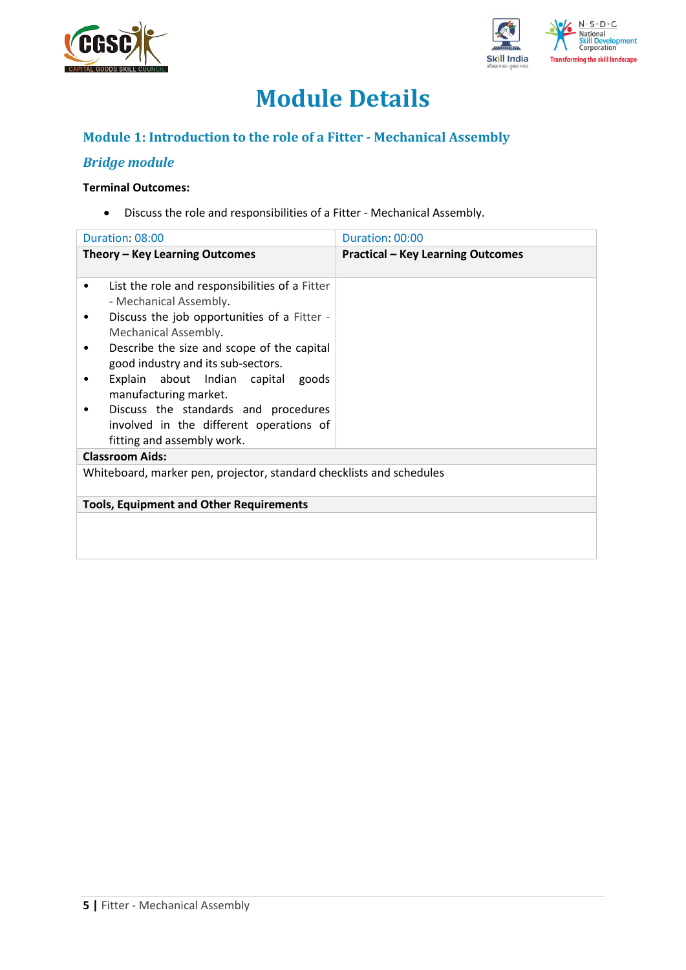



# **Module Details**

## **Module 1: Introduction to the role of a Fitter - Mechanical Assembly**

## *Bridge module*

### **Terminal Outcomes:**

• Discuss the role and responsibilities of a Fitter - Mechanical Assembly.

|        | Duration: 08:00                                                                                                         | Duration: 00:00                          |
|--------|-------------------------------------------------------------------------------------------------------------------------|------------------------------------------|
|        | Theory - Key Learning Outcomes                                                                                          | <b>Practical - Key Learning Outcomes</b> |
| ٠<br>٠ | List the role and responsibilities of a Fitter<br>- Mechanical Assembly.<br>Discuss the job opportunities of a Fitter - |                                          |
| ٠      | Mechanical Assembly.<br>Describe the size and scope of the capital                                                      |                                          |
|        | good industry and its sub-sectors.<br>Explain about Indian capital goods<br>manufacturing market.                       |                                          |
|        | Discuss the standards and procedures<br>involved in the different operations of<br>fitting and assembly work.           |                                          |
|        | <b>Classroom Aids:</b>                                                                                                  |                                          |
|        | Whiteboard, marker pen, projector, standard checklists and schedules                                                    |                                          |
|        | <b>Tools, Equipment and Other Requirements</b>                                                                          |                                          |
|        |                                                                                                                         |                                          |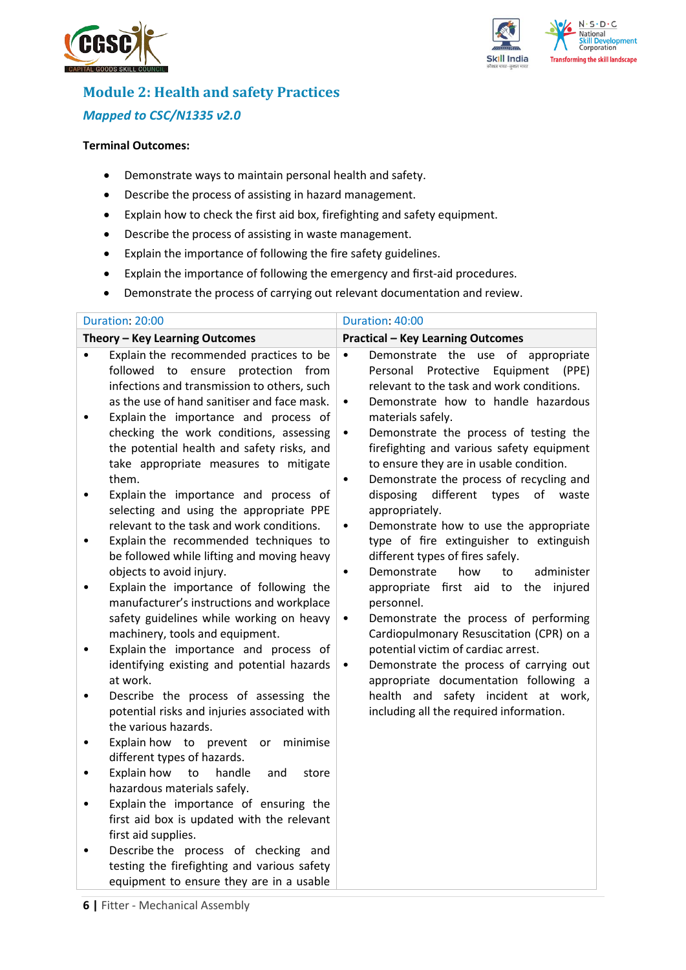



# **Module 2: Health and safety Practices** *Mapped to CSC/N1335 v2.0*

#### **Terminal Outcomes:**

- Demonstrate ways to maintain personal health and safety.
- Describe the process of assisting in hazard management.
- Explain how to check the first aid box, firefighting and safety equipment.
- Describe the process of assisting in waste management.
- Explain the importance of following the fire safety guidelines.
- Explain the importance of following the emergency and first-aid procedures.
- Demonstrate the process of carrying out relevant documentation and review.

| Duration: 20:00                                                                                                                                                                                                                                                                                                                                                                                                                                                                                                                                                                                                                                                                                                                                                                                                                                                                                                                                                                                                                                                                                                                                                                                                                                                                                                                                                                                                                                                                                                                                                          | Duration: 40:00                                                                                                                                                                                                                                                                                                                                                                                                                                                                                                                                                                                                                                                                                                                                                                                                                                                                                                                                                                                                                                                          |
|--------------------------------------------------------------------------------------------------------------------------------------------------------------------------------------------------------------------------------------------------------------------------------------------------------------------------------------------------------------------------------------------------------------------------------------------------------------------------------------------------------------------------------------------------------------------------------------------------------------------------------------------------------------------------------------------------------------------------------------------------------------------------------------------------------------------------------------------------------------------------------------------------------------------------------------------------------------------------------------------------------------------------------------------------------------------------------------------------------------------------------------------------------------------------------------------------------------------------------------------------------------------------------------------------------------------------------------------------------------------------------------------------------------------------------------------------------------------------------------------------------------------------------------------------------------------------|--------------------------------------------------------------------------------------------------------------------------------------------------------------------------------------------------------------------------------------------------------------------------------------------------------------------------------------------------------------------------------------------------------------------------------------------------------------------------------------------------------------------------------------------------------------------------------------------------------------------------------------------------------------------------------------------------------------------------------------------------------------------------------------------------------------------------------------------------------------------------------------------------------------------------------------------------------------------------------------------------------------------------------------------------------------------------|
| Theory - Key Learning Outcomes                                                                                                                                                                                                                                                                                                                                                                                                                                                                                                                                                                                                                                                                                                                                                                                                                                                                                                                                                                                                                                                                                                                                                                                                                                                                                                                                                                                                                                                                                                                                           | <b>Practical - Key Learning Outcomes</b>                                                                                                                                                                                                                                                                                                                                                                                                                                                                                                                                                                                                                                                                                                                                                                                                                                                                                                                                                                                                                                 |
| Explain the recommended practices to be<br>$\bullet$<br>followed to ensure protection<br>from<br>infections and transmission to others, such<br>as the use of hand sanitiser and face mask.<br>Explain the importance and process of<br>$\bullet$<br>checking the work conditions, assessing<br>the potential health and safety risks, and<br>take appropriate measures to mitigate<br>them.<br>Explain the importance and process of<br>$\bullet$<br>selecting and using the appropriate PPE<br>relevant to the task and work conditions.<br>Explain the recommended techniques to<br>$\bullet$<br>be followed while lifting and moving heavy<br>objects to avoid injury.<br>Explain the importance of following the<br>$\bullet$<br>manufacturer's instructions and workplace<br>safety guidelines while working on heavy<br>machinery, tools and equipment.<br>Explain the importance and process of<br>$\bullet$<br>identifying existing and potential hazards<br>at work.<br>Describe the process of assessing the<br>$\bullet$<br>potential risks and injuries associated with<br>the various hazards.<br>Explain how to prevent or<br>minimise<br>$\bullet$<br>different types of hazards.<br>Explain how<br>to<br>handle<br>and<br>store<br>$\bullet$<br>hazardous materials safely.<br>Explain the importance of ensuring the<br>$\bullet$<br>first aid box is updated with the relevant<br>first aid supplies.<br>Describe the process of checking and<br>$\bullet$<br>testing the firefighting and various safety<br>equipment to ensure they are in a usable | Demonstrate the use of appropriate<br>$\bullet$<br>Protective<br>Equipment<br>Personal<br>(PPE)<br>relevant to the task and work conditions.<br>Demonstrate how to handle hazardous<br>$\bullet$<br>materials safely.<br>Demonstrate the process of testing the<br>٠<br>firefighting and various safety equipment<br>to ensure they are in usable condition.<br>Demonstrate the process of recycling and<br>$\bullet$<br>disposing<br>different<br>types<br>of<br>waste<br>appropriately.<br>Demonstrate how to use the appropriate<br>$\bullet$<br>type of fire extinguisher to extinguish<br>different types of fires safely.<br>administer<br>Demonstrate<br>how<br>to<br>$\bullet$<br>appropriate first aid to the injured<br>personnel.<br>Demonstrate the process of performing<br>$\bullet$<br>Cardiopulmonary Resuscitation (CPR) on a<br>potential victim of cardiac arrest.<br>Demonstrate the process of carrying out<br>$\bullet$<br>appropriate documentation following a<br>health and safety incident at work,<br>including all the required information. |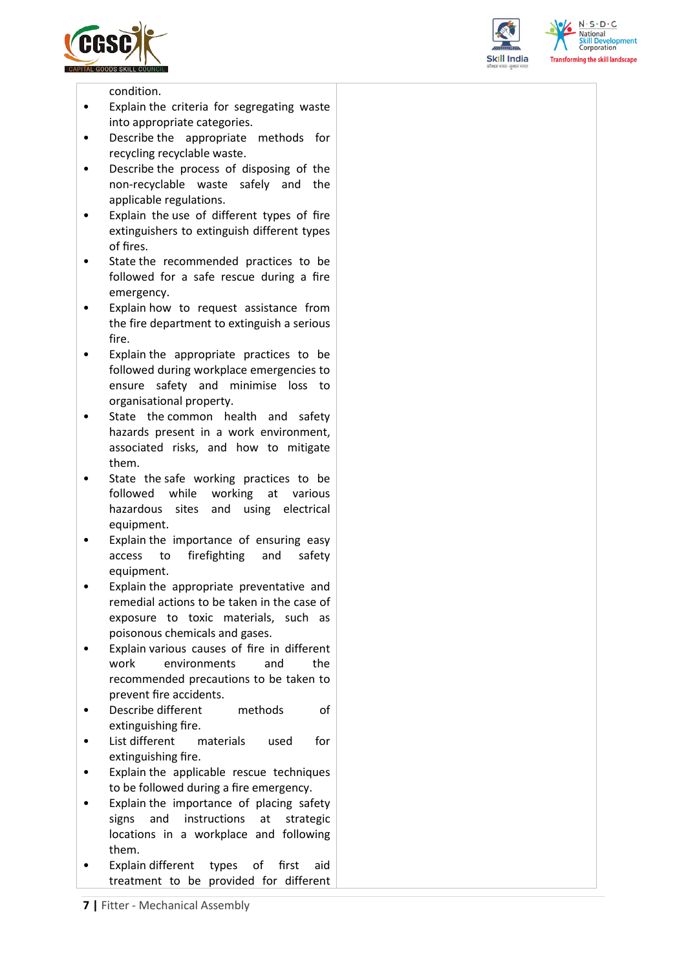





condition.

- Explain the criteria for segregating waste into appropriate categories.
- Describe the appropriate methods for recycling recyclable waste.
- Describe the process of disposing of the non-recyclable waste safely and the applicable regulations.
- Explain the use of different types of fire extinguishers to extinguish different types of fires.
- State the recommended practices to be followed for a safe rescue during a fire emergency.
- Explain how to request assistance from the fire department to extinguish a serious fire.
- Explain the appropriate practices to be followed during workplace emergencies to ensure safety and minimise loss to organisational property.
- State the common health and safety hazards present in a work environment, associated risks, and how to mitigate them.
- State the safe working practices to be followed while working at various hazardous sites and using electrical equipment.
- Explain the importance of ensuring easy access to firefighting and safety equipment.
- Explain the appropriate preventative and remedial actions to be taken in the case of exposure to toxic materials, such as poisonous chemicals and gases.
- Explain various causes of fire in different work environments and the recommended precautions to be taken to prevent fire accidents.
- Describe different methods of extinguishing fire.
- List different materials used for extinguishing fire.
- Explain the applicable rescue techniques to be followed during a fire emergency.
- Explain the importance of placing safety signs and instructions at strategic locations in a workplace and following them.
- Explain different types of first aid treatment to be provided for different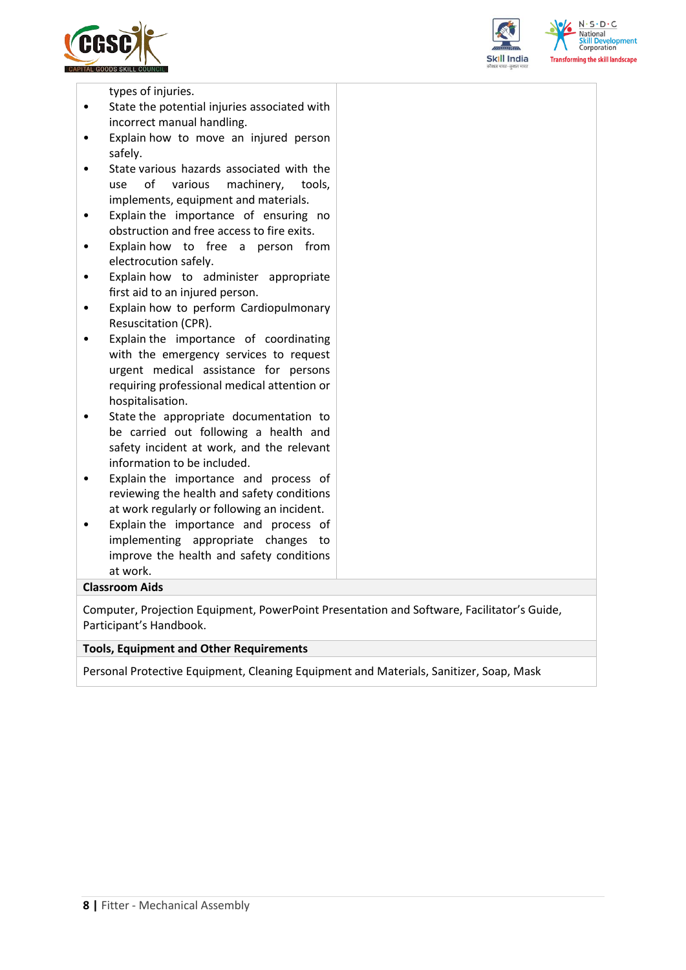





types of injuries.

- State the potential injuries associated with incorrect manual handling.
- Explain how to move an injured person safely.
- State various hazards associated with the use of various machinery, tools, implements, equipment and materials.
- Explain the importance of ensuring no obstruction and free access to fire exits.
- Explain how to free a person from electrocution safely.
- Explain how to administer appropriate first aid to an injured person.
- Explain how to perform Cardiopulmonary Resuscitation (CPR).
- Explain the importance of coordinating with the emergency services to request urgent medical assistance for persons requiring professional medical attention or hospitalisation.
- State the appropriate documentation to be carried out following a health and safety incident at work, and the relevant information to be included.
- Explain the importance and process of reviewing the health and safety conditions at work regularly or following an incident.
- Explain the importance and process of implementing appropriate changes to improve the health and safety conditions at work.

#### **Classroom Aids**

Computer, Projection Equipment, PowerPoint Presentation and Software, Facilitator's Guide, Participant's Handbook.

#### **Tools, Equipment and Other Requirements**

Personal Protective Equipment, Cleaning Equipment and Materials, Sanitizer, Soap, Mask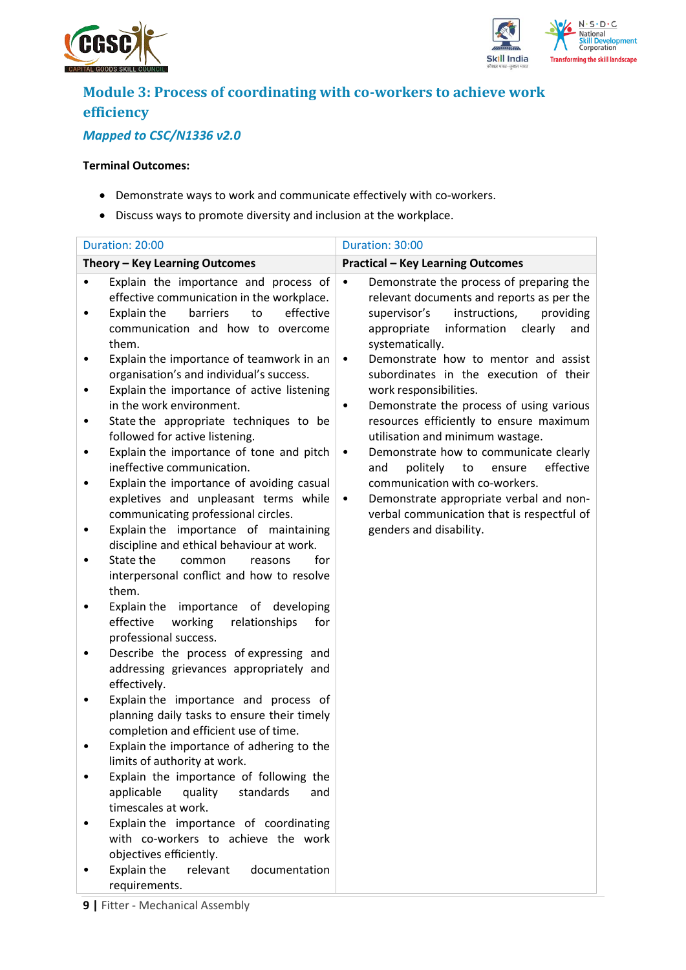



# **Module 3: Process of coordinating with co-workers to achieve work efficiency**

## *Mapped to CSC/N1336 v2.0*

### **Terminal Outcomes:**

- Demonstrate ways to work and communicate effectively with co-workers.
- Discuss ways to promote diversity and inclusion at the workplace.

|        | Duration: 20:00                                                                                                                                                                | Duration: 30:00                                                                                                                                                                                                     |
|--------|--------------------------------------------------------------------------------------------------------------------------------------------------------------------------------|---------------------------------------------------------------------------------------------------------------------------------------------------------------------------------------------------------------------|
|        | Theory - Key Learning Outcomes                                                                                                                                                 | <b>Practical - Key Learning Outcomes</b>                                                                                                                                                                            |
| ٠      | Explain the importance and process of<br>effective communication in the workplace.<br>to<br>effective<br>Explain the<br>barriers<br>communication and how to overcome<br>them. | Demonstrate the process of preparing the<br>$\bullet$<br>relevant documents and reports as per the<br>instructions,<br>providing<br>supervisor's<br>information<br>clearly<br>appropriate<br>and<br>systematically. |
| ٠      | Explain the importance of teamwork in an<br>organisation's and individual's success.<br>Explain the importance of active listening                                             | Demonstrate how to mentor and assist<br>$\bullet$<br>subordinates in the execution of their<br>work responsibilities.                                                                                               |
| ٠<br>٠ | in the work environment.<br>State the appropriate techniques to be<br>followed for active listening.<br>Explain the importance of tone and pitch                               | Demonstrate the process of using various<br>٠<br>resources efficiently to ensure maximum<br>utilisation and minimum wastage.<br>Demonstrate how to communicate clearly<br>$\bullet$                                 |
|        | ineffective communication.<br>Explain the importance of avoiding casual<br>expletives and unpleasant terms while                                                               | effective<br>politely<br>to<br>ensure<br>and<br>communication with co-workers.<br>Demonstrate appropriate verbal and non-<br>$\bullet$                                                                              |
|        | communicating professional circles.<br>Explain the importance of maintaining<br>discipline and ethical behaviour at work.<br>State the<br>common<br>for<br>reasons             | verbal communication that is respectful of<br>genders and disability.                                                                                                                                               |
|        | interpersonal conflict and how to resolve<br>them.<br>Explain the importance of developing                                                                                     |                                                                                                                                                                                                                     |
|        | effective<br>working<br>relationships<br>for<br>professional success.                                                                                                          |                                                                                                                                                                                                                     |
|        | Describe the process of expressing and<br>addressing grievances appropriately and<br>effectively.                                                                              |                                                                                                                                                                                                                     |
|        | Explain the importance and process of<br>planning daily tasks to ensure their timely<br>completion and efficient use of time.                                                  |                                                                                                                                                                                                                     |
|        | Explain the importance of adhering to the<br>limits of authority at work.<br>Explain the importance of following the                                                           |                                                                                                                                                                                                                     |
|        | applicable<br>quality<br>standards<br>and<br>timescales at work.                                                                                                               |                                                                                                                                                                                                                     |
|        | Explain the importance of coordinating<br>with co-workers to achieve the work<br>objectives efficiently.                                                                       |                                                                                                                                                                                                                     |
|        | Explain the<br>relevant<br>documentation<br>requirements.                                                                                                                      |                                                                                                                                                                                                                     |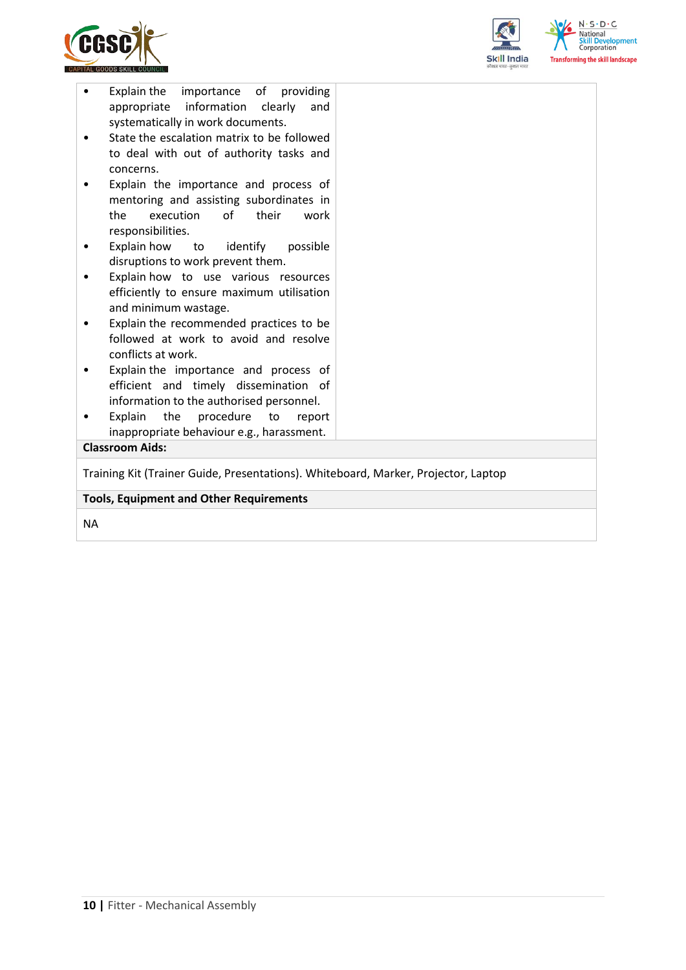



| Explain the importance of providing<br>information<br>appropriate<br>clearly<br>and |  |
|-------------------------------------------------------------------------------------|--|
| systematically in work documents.                                                   |  |
| State the escalation matrix to be followed<br>$\bullet$                             |  |
| to deal with out of authority tasks and                                             |  |
| concerns.                                                                           |  |
| Explain the importance and process of                                               |  |
| mentoring and assisting subordinates in                                             |  |
| execution<br>of<br>the<br>their<br>work<br>responsibilities.                        |  |
| Explain how<br>to identify<br>possible<br>$\bullet$                                 |  |
| disruptions to work prevent them.                                                   |  |
| Explain how to use various resources                                                |  |
| efficiently to ensure maximum utilisation                                           |  |
| and minimum wastage.                                                                |  |
| Explain the recommended practices to be                                             |  |
| followed at work to avoid and resolve                                               |  |
| conflicts at work.                                                                  |  |
| Explain the importance and process of<br>٠<br>efficient and timely dissemination of |  |
| information to the authorised personnel.                                            |  |
| Explain<br>the<br>procedure<br>to<br>report                                         |  |
| inappropriate behaviour e.g., harassment.                                           |  |
| <b>Classroom Aids:</b>                                                              |  |
| Training Kit (Trainer Guide, Presentations). Whiteboard, Marker, Projector, Laptop  |  |
|                                                                                     |  |
| <b>Tools, Equipment and Other Requirements</b>                                      |  |
|                                                                                     |  |

NA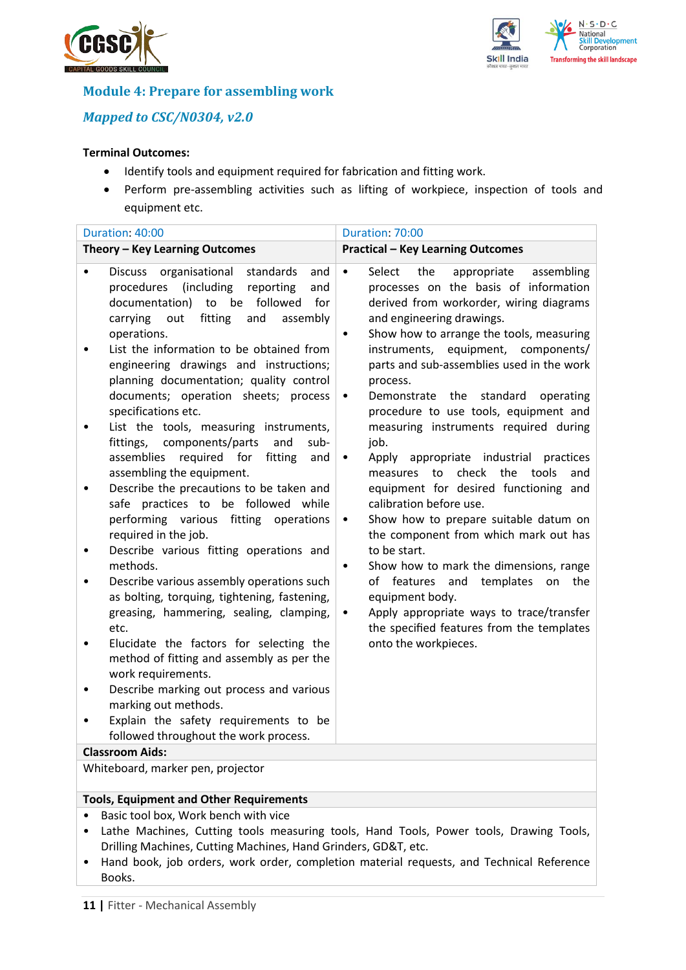



## **Module 4: Prepare for assembling work**

## *Mapped to CSC/N0304, v2.0*

### **Terminal Outcomes:**

- Identify tools and equipment required for fabrication and fitting work.
- Perform pre-assembling activities such as lifting of workpiece, inspection of tools and equipment etc.

| Duration: 40:00                                                                                                                                                                                                                                                                                                                                                                                                                                                                                                                                                                                                                                                                                                                                                                                                                                                                                                                                                                                                                                    | Duration: 70:00                                                                                                                                                                                                                                                                                                                                                                                                                                                                                                                                                                                                                                                                                                                                                                                                                                                                                                                                                                                                                          |  |  |  |
|----------------------------------------------------------------------------------------------------------------------------------------------------------------------------------------------------------------------------------------------------------------------------------------------------------------------------------------------------------------------------------------------------------------------------------------------------------------------------------------------------------------------------------------------------------------------------------------------------------------------------------------------------------------------------------------------------------------------------------------------------------------------------------------------------------------------------------------------------------------------------------------------------------------------------------------------------------------------------------------------------------------------------------------------------|------------------------------------------------------------------------------------------------------------------------------------------------------------------------------------------------------------------------------------------------------------------------------------------------------------------------------------------------------------------------------------------------------------------------------------------------------------------------------------------------------------------------------------------------------------------------------------------------------------------------------------------------------------------------------------------------------------------------------------------------------------------------------------------------------------------------------------------------------------------------------------------------------------------------------------------------------------------------------------------------------------------------------------------|--|--|--|
| Theory - Key Learning Outcomes                                                                                                                                                                                                                                                                                                                                                                                                                                                                                                                                                                                                                                                                                                                                                                                                                                                                                                                                                                                                                     | <b>Practical - Key Learning Outcomes</b>                                                                                                                                                                                                                                                                                                                                                                                                                                                                                                                                                                                                                                                                                                                                                                                                                                                                                                                                                                                                 |  |  |  |
| organisational<br>standards<br><b>Discuss</b><br>and<br>procedures (including<br>reporting<br>and<br>documentation) to be followed<br>for<br>fitting<br>and<br>carrying<br>assembly<br>out<br>operations.<br>List the information to be obtained from<br>engineering drawings and instructions;<br>planning documentation; quality control<br>documents; operation sheets; process<br>specifications etc.<br>List the tools, measuring instruments,<br>fittings, components/parts<br>and<br>sub-<br>assemblies<br>required for<br>fitting<br>and<br>assembling the equipment.<br>Describe the precautions to be taken and<br>٠<br>safe practices to be followed while<br>performing various fitting operations<br>required in the job.<br>Describe various fitting operations and<br>$\bullet$<br>methods.<br>Describe various assembly operations such<br>as bolting, torquing, tightening, fastening,<br>greasing, hammering, sealing, clamping,<br>etc.<br>Elucidate the factors for selecting the<br>method of fitting and assembly as per the | Select<br>the<br>appropriate<br>assembling<br>$\bullet$<br>processes on the basis of information<br>derived from workorder, wiring diagrams<br>and engineering drawings.<br>Show how to arrange the tools, measuring<br>$\bullet$<br>instruments, equipment, components/<br>parts and sub-assemblies used in the work<br>process.<br>Demonstrate the<br>standard<br>operating<br>$\bullet$<br>procedure to use tools, equipment and<br>measuring instruments required during<br>job.<br>Apply appropriate industrial<br>practices<br>$\bullet$<br>the<br>tools<br>measures to<br>check<br>and<br>equipment for desired functioning and<br>calibration before use.<br>Show how to prepare suitable datum on<br>$\bullet$<br>the component from which mark out has<br>to be start.<br>Show how to mark the dimensions, range<br>$\bullet$<br>of features<br>and<br>templates<br>the<br>on<br>equipment body.<br>Apply appropriate ways to trace/transfer<br>$\bullet$<br>the specified features from the templates<br>onto the workpieces. |  |  |  |
| work requirements.<br>Describe marking out process and various<br>٠                                                                                                                                                                                                                                                                                                                                                                                                                                                                                                                                                                                                                                                                                                                                                                                                                                                                                                                                                                                |                                                                                                                                                                                                                                                                                                                                                                                                                                                                                                                                                                                                                                                                                                                                                                                                                                                                                                                                                                                                                                          |  |  |  |
| marking out methods.                                                                                                                                                                                                                                                                                                                                                                                                                                                                                                                                                                                                                                                                                                                                                                                                                                                                                                                                                                                                                               |                                                                                                                                                                                                                                                                                                                                                                                                                                                                                                                                                                                                                                                                                                                                                                                                                                                                                                                                                                                                                                          |  |  |  |
| Explain the safety requirements to be<br>٠                                                                                                                                                                                                                                                                                                                                                                                                                                                                                                                                                                                                                                                                                                                                                                                                                                                                                                                                                                                                         |                                                                                                                                                                                                                                                                                                                                                                                                                                                                                                                                                                                                                                                                                                                                                                                                                                                                                                                                                                                                                                          |  |  |  |
| followed throughout the work process.                                                                                                                                                                                                                                                                                                                                                                                                                                                                                                                                                                                                                                                                                                                                                                                                                                                                                                                                                                                                              |                                                                                                                                                                                                                                                                                                                                                                                                                                                                                                                                                                                                                                                                                                                                                                                                                                                                                                                                                                                                                                          |  |  |  |
| <b>Classroom Aids:</b>                                                                                                                                                                                                                                                                                                                                                                                                                                                                                                                                                                                                                                                                                                                                                                                                                                                                                                                                                                                                                             |                                                                                                                                                                                                                                                                                                                                                                                                                                                                                                                                                                                                                                                                                                                                                                                                                                                                                                                                                                                                                                          |  |  |  |
| Whiteboard, marker pen, projector                                                                                                                                                                                                                                                                                                                                                                                                                                                                                                                                                                                                                                                                                                                                                                                                                                                                                                                                                                                                                  |                                                                                                                                                                                                                                                                                                                                                                                                                                                                                                                                                                                                                                                                                                                                                                                                                                                                                                                                                                                                                                          |  |  |  |

#### **Tools, Equipment and Other Requirements**

- Basic tool box, Work bench with vice
- Lathe Machines, Cutting tools measuring tools, Hand Tools, Power tools, Drawing Tools, Drilling Machines, Cutting Machines, Hand Grinders, GD&T, etc.
- Hand book, job orders, work order, completion material requests, and Technical Reference Books.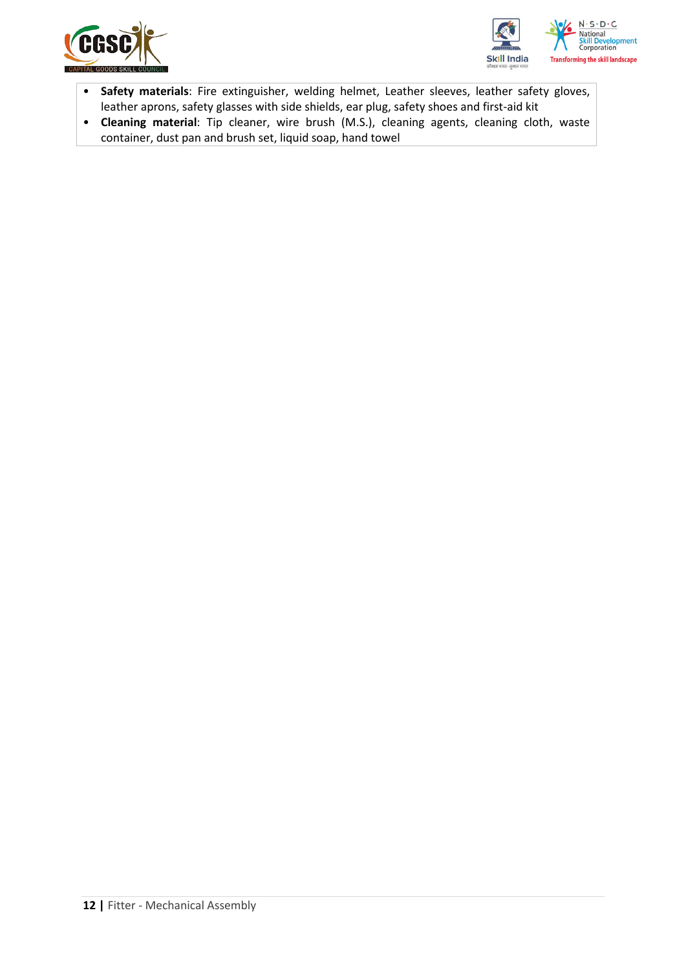



- **Safety materials**: Fire extinguisher, welding helmet, Leather sleeves, leather safety gloves, leather aprons, safety glasses with side shields, ear plug, safety shoes and first-aid kit
- **Cleaning material**: Tip cleaner, wire brush (M.S.), cleaning agents, cleaning cloth, waste container, dust pan and brush set, liquid soap, hand towel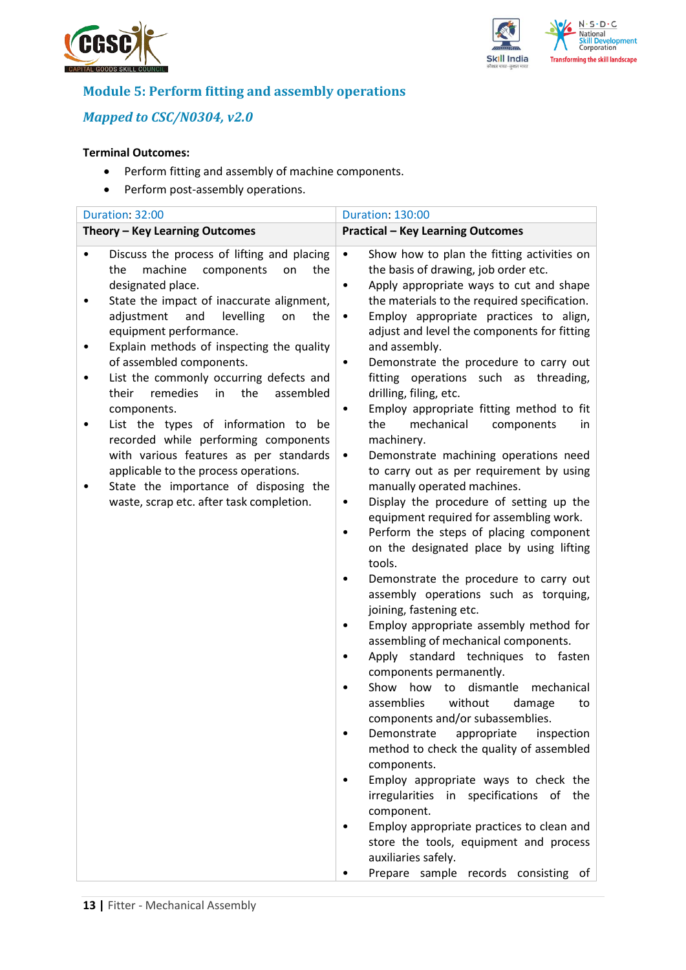



# **Module 5: Perform fitting and assembly operations**

## *Mapped to CSC/N0304, v2.0*

### **Terminal Outcomes:**

- Perform fitting and assembly of machine components.
- Perform post-assembly operations.

| Duration: 32:00                                                                                                                                                                                                                                                                                                                                                                                                                                                                                                                                                                                                                                                                  | <b>Duration: 130:00</b>                                                                                                                                                                                                                                                                                                                                                                                                                                                                                                                                                                                                                                                                                                                                                                                                                                                                                                                                                                                                                                                                                                                                                                                                                                                                                                                                                                                                                                                                                                                                                                                                                                                                                                       |  |  |
|----------------------------------------------------------------------------------------------------------------------------------------------------------------------------------------------------------------------------------------------------------------------------------------------------------------------------------------------------------------------------------------------------------------------------------------------------------------------------------------------------------------------------------------------------------------------------------------------------------------------------------------------------------------------------------|-------------------------------------------------------------------------------------------------------------------------------------------------------------------------------------------------------------------------------------------------------------------------------------------------------------------------------------------------------------------------------------------------------------------------------------------------------------------------------------------------------------------------------------------------------------------------------------------------------------------------------------------------------------------------------------------------------------------------------------------------------------------------------------------------------------------------------------------------------------------------------------------------------------------------------------------------------------------------------------------------------------------------------------------------------------------------------------------------------------------------------------------------------------------------------------------------------------------------------------------------------------------------------------------------------------------------------------------------------------------------------------------------------------------------------------------------------------------------------------------------------------------------------------------------------------------------------------------------------------------------------------------------------------------------------------------------------------------------------|--|--|
| Theory - Key Learning Outcomes                                                                                                                                                                                                                                                                                                                                                                                                                                                                                                                                                                                                                                                   | <b>Practical - Key Learning Outcomes</b>                                                                                                                                                                                                                                                                                                                                                                                                                                                                                                                                                                                                                                                                                                                                                                                                                                                                                                                                                                                                                                                                                                                                                                                                                                                                                                                                                                                                                                                                                                                                                                                                                                                                                      |  |  |
| Discuss the process of lifting and placing<br>٠<br>machine<br>components<br>the<br>on<br>the<br>designated place.<br>State the impact of inaccurate alignment,<br>adjustment<br>levelling<br>and<br>the<br>on<br>equipment performance.<br>Explain methods of inspecting the quality<br>of assembled components.<br>List the commonly occurring defects and<br>remedies<br>the<br>their<br>in<br>assembled<br>components.<br>List the types of information to be<br>recorded while performing components<br>with various features as per standards<br>applicable to the process operations.<br>State the importance of disposing the<br>waste, scrap etc. after task completion. | $\bullet$<br>Show how to plan the fitting activities on<br>the basis of drawing, job order etc.<br>Apply appropriate ways to cut and shape<br>$\bullet$<br>the materials to the required specification.<br>Employ appropriate practices to align,<br>$\bullet$<br>adjust and level the components for fitting<br>and assembly.<br>Demonstrate the procedure to carry out<br>٠<br>fitting operations such as threading,<br>drilling, filing, etc.<br>Employ appropriate fitting method to fit<br>$\bullet$<br>mechanical<br>the<br>components<br>in.<br>machinery.<br>Demonstrate machining operations need<br>$\bullet$<br>to carry out as per requirement by using<br>manually operated machines.<br>Display the procedure of setting up the<br>$\bullet$<br>equipment required for assembling work.<br>Perform the steps of placing component<br>$\bullet$<br>on the designated place by using lifting<br>tools.<br>Demonstrate the procedure to carry out<br>$\bullet$<br>assembly operations such as torquing,<br>joining, fastening etc.<br>Employ appropriate assembly method for<br>٠<br>assembling of mechanical components.<br>Apply standard techniques to fasten<br>٠<br>components permanently.<br>Show<br>dismantle<br>how<br>mechanical<br>to<br>without<br>assemblies<br>damage<br>to<br>components and/or subassemblies.<br>appropriate<br>Demonstrate<br>inspection<br>٠<br>method to check the quality of assembled<br>components.<br>Employ appropriate ways to check the<br>$\bullet$<br>irregularities in specifications of the<br>component.<br>Employ appropriate practices to clean and<br>٠<br>store the tools, equipment and process<br>auxiliaries safely.<br>Prepare sample records consisting of |  |  |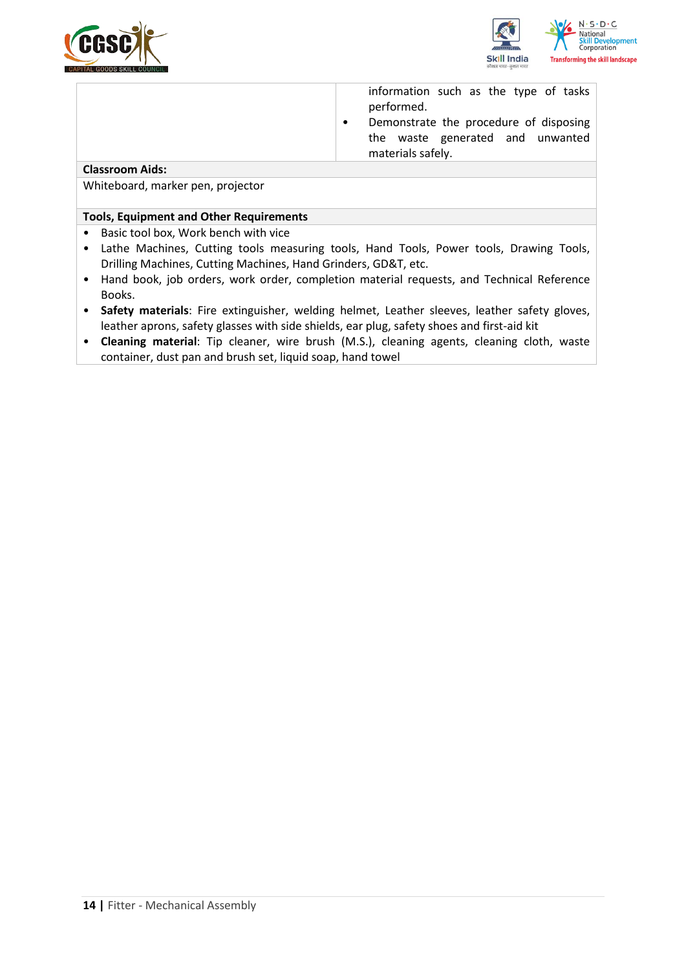



information such as the type of tasks performed.

• Demonstrate the procedure of disposing the waste generated and unwanted materials safely.

### **Classroom Aids:**

Whiteboard, marker pen, projector

#### **Tools, Equipment and Other Requirements**

- Basic tool box, Work bench with vice
- Lathe Machines, Cutting tools measuring tools, Hand Tools, Power tools, Drawing Tools, Drilling Machines, Cutting Machines, Hand Grinders, GD&T, etc.
- Hand book, job orders, work order, completion material requests, and Technical Reference Books.
- **Safety materials**: Fire extinguisher, welding helmet, Leather sleeves, leather safety gloves, leather aprons, safety glasses with side shields, ear plug, safety shoes and first-aid kit
- **Cleaning material**: Tip cleaner, wire brush (M.S.), cleaning agents, cleaning cloth, waste container, dust pan and brush set, liquid soap, hand towel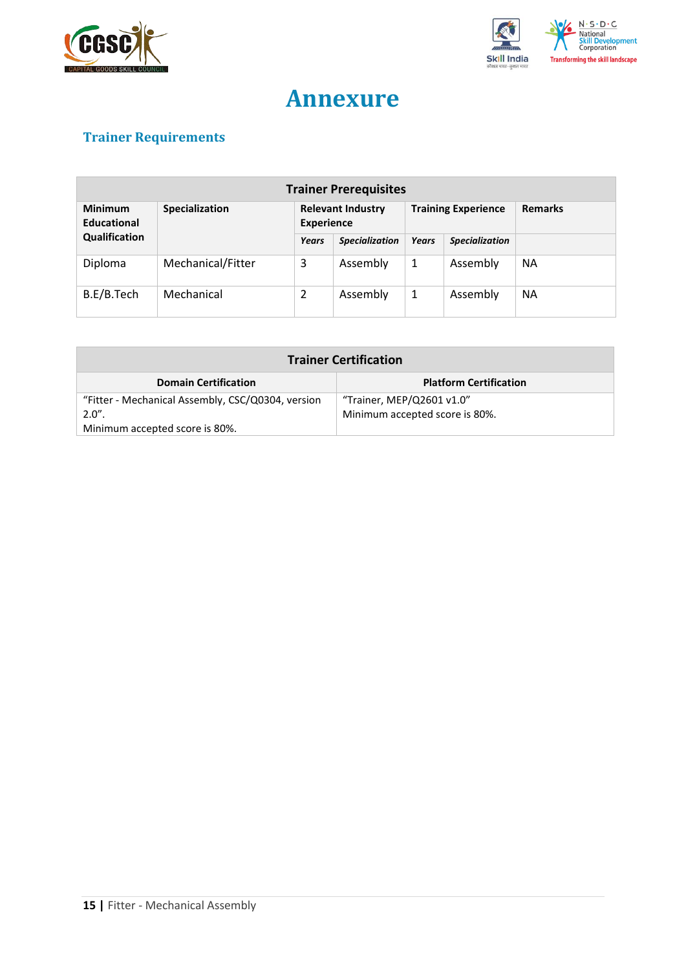



# **Annexure**

# <span id="page-14-0"></span>**Trainer Requirements**

| <b>Trainer Prerequisites</b>  |                   |                                               |                       |                            |                       |                |
|-------------------------------|-------------------|-----------------------------------------------|-----------------------|----------------------------|-----------------------|----------------|
| <b>Minimum</b><br>Educational | Specialization    | <b>Relevant Industry</b><br><b>Experience</b> |                       | <b>Training Experience</b> |                       | <b>Remarks</b> |
| Qualification                 |                   | Years                                         | <b>Specialization</b> | <b>Years</b>               | <b>Specialization</b> |                |
| Diploma                       | Mechanical/Fitter | 3                                             | Assembly              | 1                          | Assembly              | <b>NA</b>      |
| B.E/B.Tech                    | Mechanical        | $\overline{2}$                                | Assembly              | 1                          | Assembly              | <b>NA</b>      |

| <b>Trainer Certification</b>                                                   |                                |  |  |  |
|--------------------------------------------------------------------------------|--------------------------------|--|--|--|
| <b>Domain Certification</b><br><b>Platform Certification</b>                   |                                |  |  |  |
| "Trainer, MEP/Q2601 v1.0"<br>"Fitter - Mechanical Assembly, CSC/Q0304, version |                                |  |  |  |
| $2.0"$ .                                                                       | Minimum accepted score is 80%. |  |  |  |
| Minimum accepted score is 80%.                                                 |                                |  |  |  |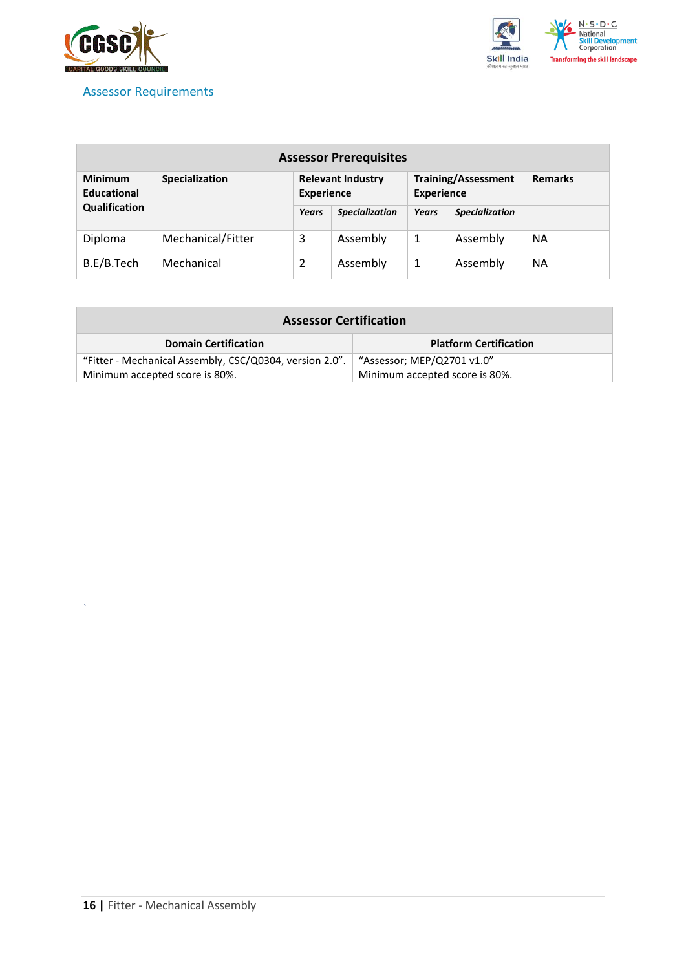

## <span id="page-15-0"></span>Assessor Requirements



| <b>Assessor Prerequisites</b>                                 |                   |                                               |                       |                                                 |                       |                |
|---------------------------------------------------------------|-------------------|-----------------------------------------------|-----------------------|-------------------------------------------------|-----------------------|----------------|
| <b>Minimum</b><br><b>Specialization</b><br><b>Educational</b> |                   | <b>Relevant Industry</b><br><b>Experience</b> |                       | <b>Training/Assessment</b><br><b>Experience</b> |                       | <b>Remarks</b> |
| Qualification                                                 |                   | Years                                         | <b>Specialization</b> | Years                                           | <b>Specialization</b> |                |
| Diploma                                                       | Mechanical/Fitter | 3                                             | Assembly              | 1                                               | Assembly              | <b>NA</b>      |
| B.E/B.Tech                                                    | Mechanical        | 2                                             | Assembly              | 1                                               | Assembly              | <b>NA</b>      |

| <b>Assessor Certification</b>                                                         |                                |  |
|---------------------------------------------------------------------------------------|--------------------------------|--|
| <b>Domain Certification</b>                                                           | <b>Platform Certification</b>  |  |
| "Fitter - Mechanical Assembly, CSC/Q0304, version 2.0".<br>"Assessor; MEP/Q2701 v1.0" |                                |  |
| Minimum accepted score is 80%.                                                        | Minimum accepted score is 80%. |  |

*`*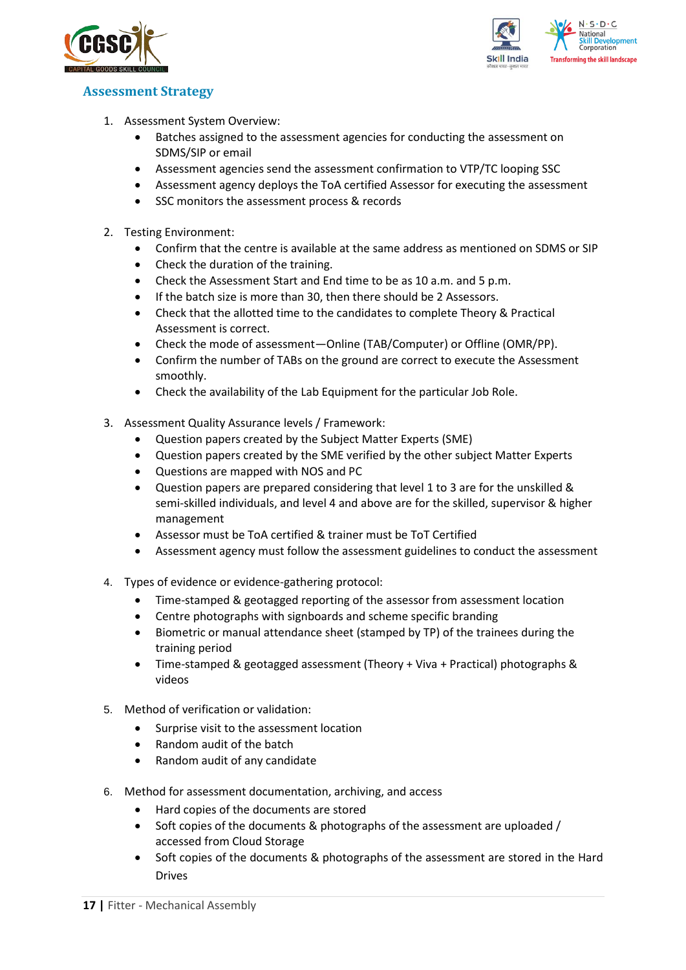



## <span id="page-16-0"></span>**Assessment Strategy**

- 1. Assessment System Overview:
	- Batches assigned to the assessment agencies for conducting the assessment on SDMS/SIP or email
	- Assessment agencies send the assessment confirmation to VTP/TC looping SSC
	- Assessment agency deploys the ToA certified Assessor for executing the assessment
	- SSC monitors the assessment process & records
- 2. Testing Environment:
	- Confirm that the centre is available at the same address as mentioned on SDMS or SIP
	- Check the duration of the training.
	- Check the Assessment Start and End time to be as 10 a.m. and 5 p.m.
	- If the batch size is more than 30, then there should be 2 Assessors.
	- Check that the allotted time to the candidates to complete Theory & Practical Assessment is correct.
	- Check the mode of assessment—Online (TAB/Computer) or Offline (OMR/PP).
	- Confirm the number of TABs on the ground are correct to execute the Assessment smoothly.
	- Check the availability of the Lab Equipment for the particular Job Role.
- 3. Assessment Quality Assurance levels / Framework:
	- Question papers created by the Subject Matter Experts (SME)
	- Question papers created by the SME verified by the other subject Matter Experts
	- Questions are mapped with NOS and PC
	- Question papers are prepared considering that level 1 to 3 are for the unskilled & semi-skilled individuals, and level 4 and above are for the skilled, supervisor & higher management
	- Assessor must be ToA certified & trainer must be ToT Certified
	- Assessment agency must follow the assessment guidelines to conduct the assessment
- 4. Types of evidence or evidence-gathering protocol:
	- Time-stamped & geotagged reporting of the assessor from assessment location
	- Centre photographs with signboards and scheme specific branding
	- Biometric or manual attendance sheet (stamped by TP) of the trainees during the training period
	- Time-stamped & geotagged assessment (Theory + Viva + Practical) photographs & videos
- 5. Method of verification or validation:
	- Surprise visit to the assessment location
	- Random audit of the batch
	- Random audit of any candidate
- 6. Method for assessment documentation, archiving, and access
	- Hard copies of the documents are stored
	- Soft copies of the documents & photographs of the assessment are uploaded / accessed from Cloud Storage
	- Soft copies of the documents & photographs of the assessment are stored in the Hard Drives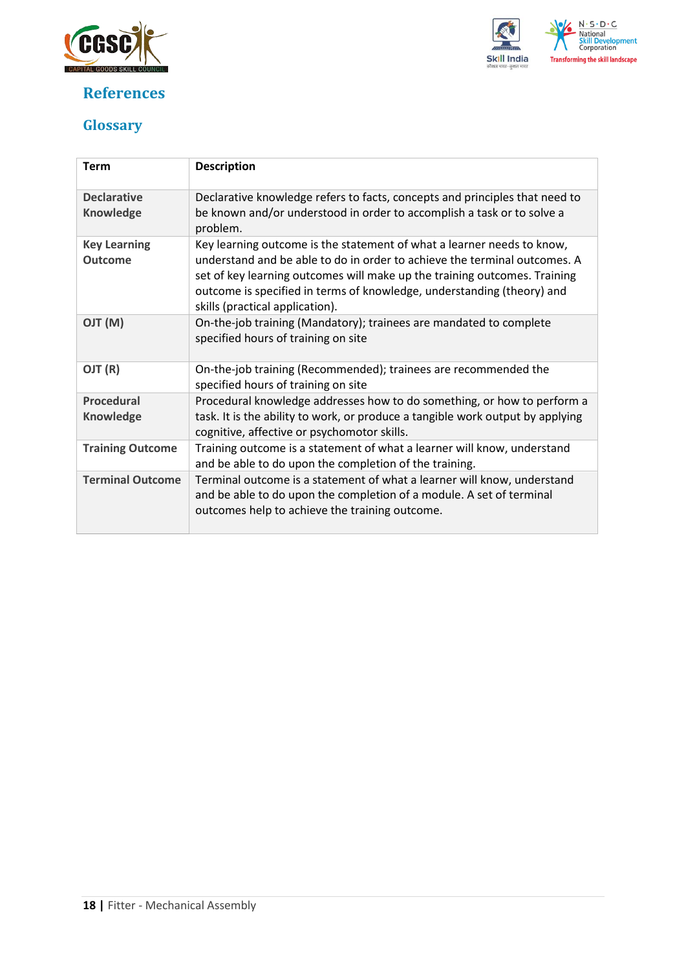

## <span id="page-17-0"></span>**References**



## <span id="page-17-1"></span>**Glossary**

| <b>Term</b>                            | <b>Description</b>                                                                                                                                                                                                                                                                                                                            |
|----------------------------------------|-----------------------------------------------------------------------------------------------------------------------------------------------------------------------------------------------------------------------------------------------------------------------------------------------------------------------------------------------|
| <b>Declarative</b><br><b>Knowledge</b> | Declarative knowledge refers to facts, concepts and principles that need to<br>be known and/or understood in order to accomplish a task or to solve a<br>problem.                                                                                                                                                                             |
| <b>Key Learning</b><br><b>Outcome</b>  | Key learning outcome is the statement of what a learner needs to know,<br>understand and be able to do in order to achieve the terminal outcomes. A<br>set of key learning outcomes will make up the training outcomes. Training<br>outcome is specified in terms of knowledge, understanding (theory) and<br>skills (practical application). |
| (M) TLO                                | On-the-job training (Mandatory); trainees are mandated to complete<br>specified hours of training on site                                                                                                                                                                                                                                     |
| OJT (R)                                | On-the-job training (Recommended); trainees are recommended the<br>specified hours of training on site                                                                                                                                                                                                                                        |
| <b>Procedural</b>                      | Procedural knowledge addresses how to do something, or how to perform a                                                                                                                                                                                                                                                                       |
| <b>Knowledge</b>                       | task. It is the ability to work, or produce a tangible work output by applying<br>cognitive, affective or psychomotor skills.                                                                                                                                                                                                                 |
| <b>Training Outcome</b>                | Training outcome is a statement of what a learner will know, understand<br>and be able to do upon the completion of the training.                                                                                                                                                                                                             |
| <b>Terminal Outcome</b>                | Terminal outcome is a statement of what a learner will know, understand<br>and be able to do upon the completion of a module. A set of terminal<br>outcomes help to achieve the training outcome.                                                                                                                                             |